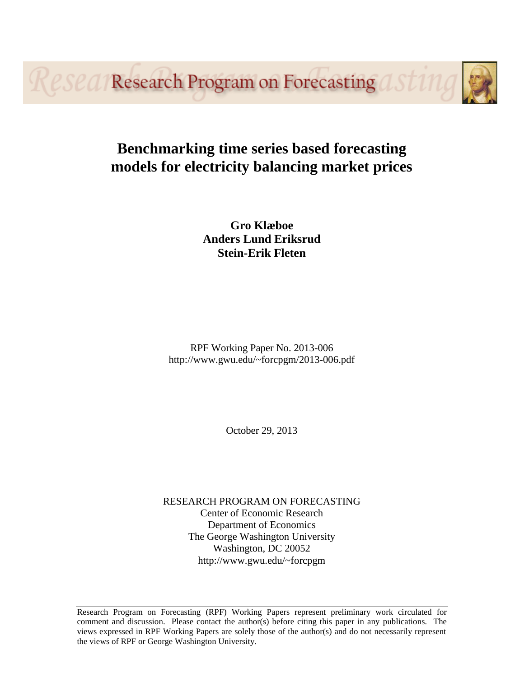*<u>esea/Research Program on Forecasting</u>* 

# **Benchmarking time series based forecasting models for electricity balancing market prices**

**Gro Klæboe Anders Lund Eriksrud Stein-Erik Fleten**

RPF Working Paper No. 2013-006 http://www.gwu.edu/~forcpgm/2013-006.pdf

October 29, 2013

RESEARCH PROGRAM ON FORECASTING Center of Economic Research Department of Economics The George Washington University Washington, DC 20052 http://www.gwu.edu/~forcpgm

Research Program on Forecasting (RPF) Working Papers represent preliminary work circulated for comment and discussion. Please contact the author(s) before citing this paper in any publications. The views expressed in RPF Working Papers are solely those of the author(s) and do not necessarily represent the views of RPF or George Washington University.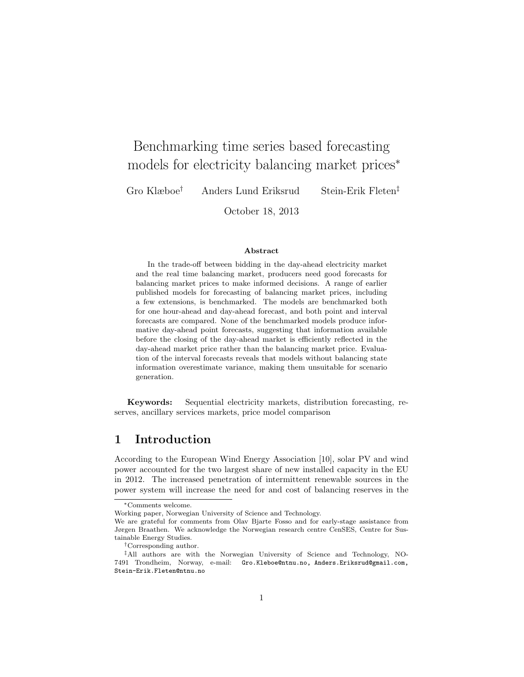# Benchmarking time series based forecasting models for electricity balancing market prices<sup>∗</sup>

Gro Klæboe† Anders Lund Eriksrud Stein-Erik Fleten‡

October 18, 2013

#### Abstract

In the trade-off between bidding in the day-ahead electricity market and the real time balancing market, producers need good forecasts for balancing market prices to make informed decisions. A range of earlier published models for forecasting of balancing market prices, including a few extensions, is benchmarked. The models are benchmarked both for one hour-ahead and day-ahead forecast, and both point and interval forecasts are compared. None of the benchmarked models produce informative day-ahead point forecasts, suggesting that information available before the closing of the day-ahead market is efficiently reflected in the day-ahead market price rather than the balancing market price. Evaluation of the interval forecasts reveals that models without balancing state information overestimate variance, making them unsuitable for scenario generation.

Keywords: Sequential electricity markets, distribution forecasting, reserves, ancillary services markets, price model comparison

# 1 Introduction

According to the European Wind Energy Association [10], solar PV and wind power accounted for the two largest share of new installed capacity in the EU in 2012. The increased penetration of intermittent renewable sources in the power system will increase the need for and cost of balancing reserves in the

<sup>∗</sup>Comments welcome.

Working paper, Norwegian University of Science and Technology.

We are grateful for comments from Olav Bjarte Fosso and for early-stage assistance from Jørgen Braathen. We acknowledge the Norwegian research centre CenSES, Centre for Sustainable Energy Studies.

<sup>†</sup>Corresponding author.

<sup>‡</sup>All authors are with the Norwegian University of Science and Technology, NO-7491 Trondheim, Norway, e-mail: Gro.Kleboe@ntnu.no, Anders.Eriksrud@gmail.com, Stein-Erik.Fleten@ntnu.no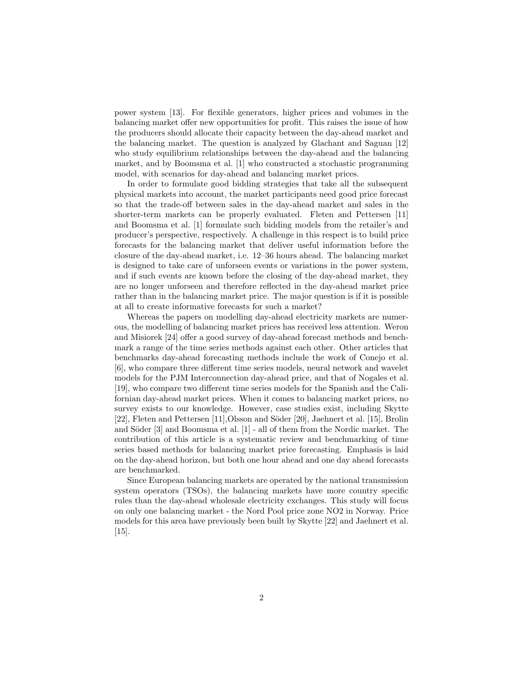power system [13]. For flexible generators, higher prices and volumes in the balancing market offer new opportunities for profit. This raises the issue of how the producers should allocate their capacity between the day-ahead market and the balancing market. The question is analyzed by Glachant and Saguan [12] who study equilibrium relationships between the day-ahead and the balancing market, and by Boomsma et al. [1] who constructed a stochastic programming model, with scenarios for day-ahead and balancing market prices.

In order to formulate good bidding strategies that take all the subsequent physical markets into account, the market participants need good price forecast so that the trade-off between sales in the day-ahead market and sales in the shorter-term markets can be properly evaluated. Fleten and Pettersen [11] and Boomsma et al. [1] formulate such bidding models from the retailer's and producer's perspective, respectively. A challenge in this respect is to build price forecasts for the balancing market that deliver useful information before the closure of the day-ahead market, i.e. 12–36 hours ahead. The balancing market is designed to take care of unforseen events or variations in the power system, and if such events are known before the closing of the day-ahead market, they are no longer unforseen and therefore reflected in the day-ahead market price rather than in the balancing market price. The major question is if it is possible at all to create informative forecasts for such a market?

Whereas the papers on modelling day-ahead electricity markets are numerous, the modelling of balancing market prices has received less attention. Weron and Misiorek [24] offer a good survey of day-ahead forecast methods and benchmark a range of the time series methods against each other. Other articles that benchmarks day-ahead forecasting methods include the work of Conejo et al. [6], who compare three different time series models, neural network and wavelet models for the PJM Interconnection day-ahead price, and that of Nogales et al. [19], who compare two different time series models for the Spanish and the Californian day-ahead market prices. When it comes to balancing market prices, no survey exists to our knowledge. However, case studies exist, including Skytte [22], Fleten and Pettersen [11], Olsson and Söder [20], Jaehnert et al. [15], Brolin and Söder  $[3]$  and Boomsma et al.  $[1]$  - all of them from the Nordic market. The contribution of this article is a systematic review and benchmarking of time series based methods for balancing market price forecasting. Emphasis is laid on the day-ahead horizon, but both one hour ahead and one day ahead forecasts are benchmarked.

Since European balancing markets are operated by the national transmission system operators (TSOs), the balancing markets have more country specific rules than the day-ahead wholesale electricity exchanges. This study will focus on only one balancing market - the Nord Pool price zone NO2 in Norway. Price models for this area have previously been built by Skytte [22] and Jaehnert et al. [15].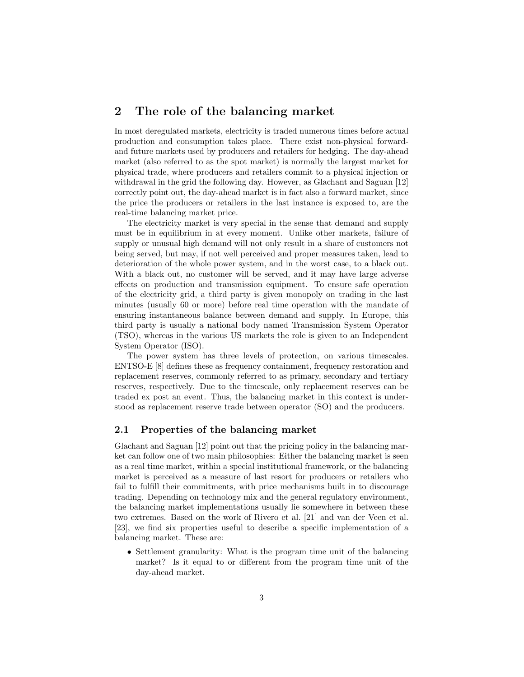# 2 The role of the balancing market

In most deregulated markets, electricity is traded numerous times before actual production and consumption takes place. There exist non-physical forwardand future markets used by producers and retailers for hedging. The day-ahead market (also referred to as the spot market) is normally the largest market for physical trade, where producers and retailers commit to a physical injection or withdrawal in the grid the following day. However, as Glachant and Saguan [12] correctly point out, the day-ahead market is in fact also a forward market, since the price the producers or retailers in the last instance is exposed to, are the real-time balancing market price.

The electricity market is very special in the sense that demand and supply must be in equilibrium in at every moment. Unlike other markets, failure of supply or unusual high demand will not only result in a share of customers not being served, but may, if not well perceived and proper measures taken, lead to deterioration of the whole power system, and in the worst case, to a black out. With a black out, no customer will be served, and it may have large adverse effects on production and transmission equipment. To ensure safe operation of the electricity grid, a third party is given monopoly on trading in the last minutes (usually 60 or more) before real time operation with the mandate of ensuring instantaneous balance between demand and supply. In Europe, this third party is usually a national body named Transmission System Operator (TSO), whereas in the various US markets the role is given to an Independent System Operator (ISO).

The power system has three levels of protection, on various timescales. ENTSO-E [8] defines these as frequency containment, frequency restoration and replacement reserves, commonly referred to as primary, secondary and tertiary reserves, respectively. Due to the timescale, only replacement reserves can be traded ex post an event. Thus, the balancing market in this context is understood as replacement reserve trade between operator (SO) and the producers.

#### 2.1 Properties of the balancing market

Glachant and Saguan [12] point out that the pricing policy in the balancing market can follow one of two main philosophies: Either the balancing market is seen as a real time market, within a special institutional framework, or the balancing market is perceived as a measure of last resort for producers or retailers who fail to fulfill their commitments, with price mechanisms built in to discourage trading. Depending on technology mix and the general regulatory environment, the balancing market implementations usually lie somewhere in between these two extremes. Based on the work of Rivero et al. [21] and van der Veen et al. [23], we find six properties useful to describe a specific implementation of a balancing market. These are:

• Settlement granularity: What is the program time unit of the balancing market? Is it equal to or different from the program time unit of the day-ahead market.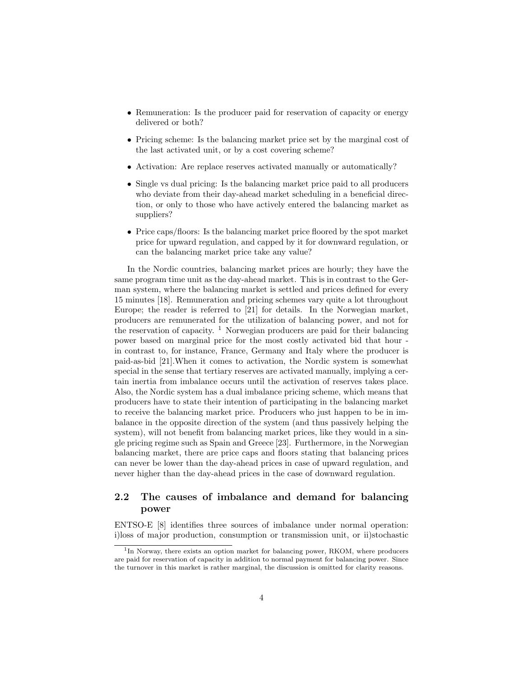- Remuneration: Is the producer paid for reservation of capacity or energy delivered or both?
- Pricing scheme: Is the balancing market price set by the marginal cost of the last activated unit, or by a cost covering scheme?
- Activation: Are replace reserves activated manually or automatically?
- Single vs dual pricing: Is the balancing market price paid to all producers who deviate from their day-ahead market scheduling in a beneficial direction, or only to those who have actively entered the balancing market as suppliers?
- Price caps/floors: Is the balancing market price floored by the spot market price for upward regulation, and capped by it for downward regulation, or can the balancing market price take any value?

In the Nordic countries, balancing market prices are hourly; they have the same program time unit as the day-ahead market. This is in contrast to the German system, where the balancing market is settled and prices defined for every 15 minutes [18]. Remuneration and pricing schemes vary quite a lot throughout Europe; the reader is referred to [21] for details. In the Norwegian market, producers are remunerated for the utilization of balancing power, and not for the reservation of capacity.  $\frac{1}{1}$  Norwegian producers are paid for their balancing power based on marginal price for the most costly activated bid that hour in contrast to, for instance, France, Germany and Italy where the producer is paid-as-bid [21].When it comes to activation, the Nordic system is somewhat special in the sense that tertiary reserves are activated manually, implying a certain inertia from imbalance occurs until the activation of reserves takes place. Also, the Nordic system has a dual imbalance pricing scheme, which means that producers have to state their intention of participating in the balancing market to receive the balancing market price. Producers who just happen to be in imbalance in the opposite direction of the system (and thus passively helping the system), will not benefit from balancing market prices, like they would in a single pricing regime such as Spain and Greece [23]. Furthermore, in the Norwegian balancing market, there are price caps and floors stating that balancing prices can never be lower than the day-ahead prices in case of upward regulation, and never higher than the day-ahead prices in the case of downward regulation.

### 2.2 The causes of imbalance and demand for balancing power

ENTSO-E [8] identifies three sources of imbalance under normal operation: i)loss of major production, consumption or transmission unit, or ii)stochastic

<sup>&</sup>lt;sup>1</sup>In Norway, there exists an option market for balancing power, RKOM, where producers are paid for reservation of capacity in addition to normal payment for balancing power. Since the turnover in this market is rather marginal, the discussion is omitted for clarity reasons.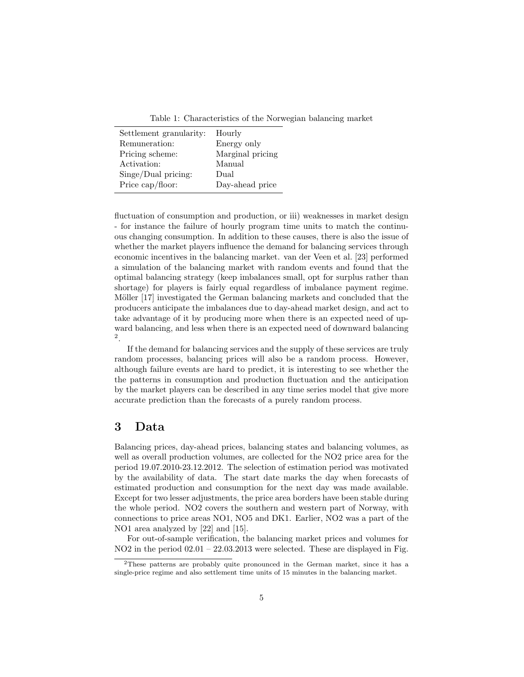Table 1: Characteristics of the Norwegian balancing market

| Settlement granularity: | Hourly           |
|-------------------------|------------------|
| Remuneration:           | Energy only      |
| Pricing scheme:         | Marginal pricing |
| Activation:             | Manual           |
| Singe/Dual pricing:     | Dual             |
| Price cap/floor:        | Day-ahead price  |

fluctuation of consumption and production, or iii) weaknesses in market design - for instance the failure of hourly program time units to match the continuous changing consumption. In addition to these causes, there is also the issue of whether the market players influence the demand for balancing services through economic incentives in the balancing market. van der Veen et al. [23] performed a simulation of the balancing market with random events and found that the optimal balancing strategy (keep imbalances small, opt for surplus rather than shortage) for players is fairly equal regardless of imbalance payment regime. Möller [17] investigated the German balancing markets and concluded that the producers anticipate the imbalances due to day-ahead market design, and act to take advantage of it by producing more when there is an expected need of upward balancing, and less when there is an expected need of downward balancing 2 .

If the demand for balancing services and the supply of these services are truly random processes, balancing prices will also be a random process. However, although failure events are hard to predict, it is interesting to see whether the the patterns in consumption and production fluctuation and the anticipation by the market players can be described in any time series model that give more accurate prediction than the forecasts of a purely random process.

# 3 Data

Balancing prices, day-ahead prices, balancing states and balancing volumes, as well as overall production volumes, are collected for the NO2 price area for the period 19.07.2010-23.12.2012. The selection of estimation period was motivated by the availability of data. The start date marks the day when forecasts of estimated production and consumption for the next day was made available. Except for two lesser adjustments, the price area borders have been stable during the whole period. NO2 covers the southern and western part of Norway, with connections to price areas NO1, NO5 and DK1. Earlier, NO2 was a part of the NO1 area analyzed by [22] and [15].

For out-of-sample verification, the balancing market prices and volumes for NO2 in the period 02.01 – 22.03.2013 were selected. These are displayed in Fig.

 $2$ These patterns are probably quite pronounced in the German market, since it has a single-price regime and also settlement time units of 15 minutes in the balancing market.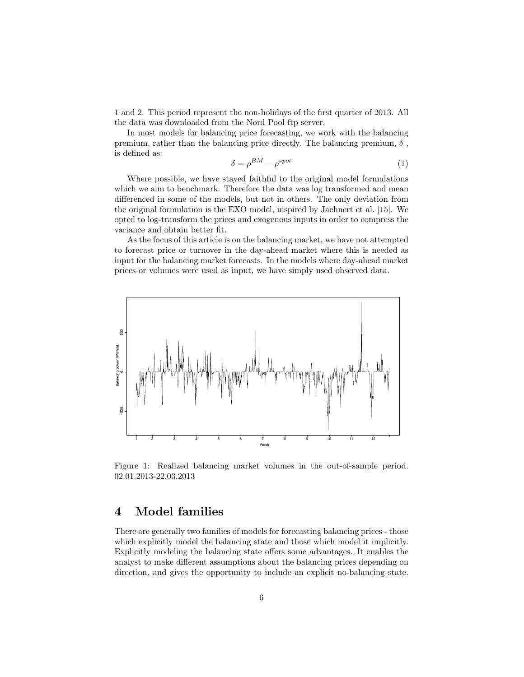1 and 2. This period represent the non-holidays of the first quarter of 2013. All the data was downloaded from the Nord Pool ftp server.

In most models for balancing price forecasting, we work with the balancing premium, rather than the balancing price directly. The balancing premium,  $\delta$ , is defined as:

$$
\delta = \rho^{BM} - \rho^{spot} \tag{1}
$$

Where possible, we have stayed faithful to the original model formulations which we aim to benchmark. Therefore the data was log transformed and mean differenced in some of the models, but not in others. The only deviation from the original formulation is the EXO model, inspired by Jaehnert et al. [15]. We opted to log-transform the prices and exogenous inputs in order to compress the variance and obtain better fit.

As the focus of this article is on the balancing market, we have not attempted to forecast price or turnover in the day-ahead market where this is needed as input for the balancing market forecasts. In the models where day-ahead market prices or volumes were used as input, we have simply used observed data.



Figure 1: Realized balancing market volumes in the out-of-sample period. 02.01.2013-22.03.2013

# 4 Model families

There are generally two families of models for forecasting balancing prices - those which explicitly model the balancing state and those which model it implicitly. Explicitly modeling the balancing state offers some advantages. It enables the analyst to make different assumptions about the balancing prices depending on direction, and gives the opportunity to include an explicit no-balancing state.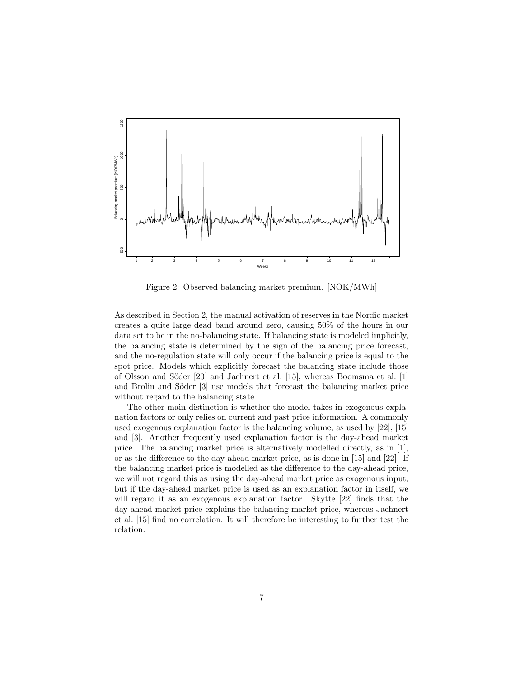

Figure 2: Observed balancing market premium. [NOK/MWh]

As described in Section 2, the manual activation of reserves in the Nordic market creates a quite large dead band around zero, causing 50% of the hours in our data set to be in the no-balancing state. If balancing state is modeled implicitly, the balancing state is determined by the sign of the balancing price forecast, and the no-regulation state will only occur if the balancing price is equal to the spot price. Models which explicitly forecast the balancing state include those of Olsson and Söder  $[20]$  and Jaehnert et al.  $[15]$ , whereas Boomsma et al.  $[1]$ and Brolin and Söder [3] use models that forecast the balancing market price without regard to the balancing state.

The other main distinction is whether the model takes in exogenous explanation factors or only relies on current and past price information. A commonly used exogenous explanation factor is the balancing volume, as used by [22], [15] and [3]. Another frequently used explanation factor is the day-ahead market price. The balancing market price is alternatively modelled directly, as in [1], or as the difference to the day-ahead market price, as is done in [15] and [22]. If the balancing market price is modelled as the difference to the day-ahead price, we will not regard this as using the day-ahead market price as exogenous input, but if the day-ahead market price is used as an explanation factor in itself, we will regard it as an exogenous explanation factor. Skytte [22] finds that the day-ahead market price explains the balancing market price, whereas Jaehnert et al. [15] find no correlation. It will therefore be interesting to further test the relation.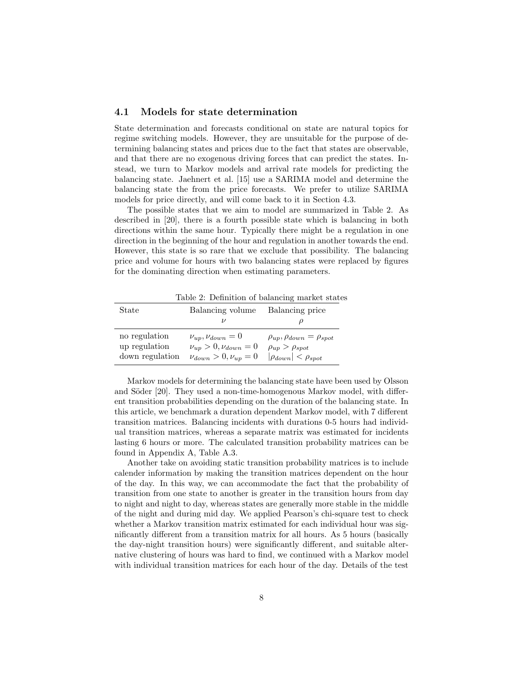#### 4.1 Models for state determination

State determination and forecasts conditional on state are natural topics for regime switching models. However, they are unsuitable for the purpose of determining balancing states and prices due to the fact that states are observable, and that there are no exogenous driving forces that can predict the states. Instead, we turn to Markov models and arrival rate models for predicting the balancing state. Jaehnert et al. [15] use a SARIMA model and determine the balancing state the from the price forecasts. We prefer to utilize SARIMA models for price directly, and will come back to it in Section 4.3.

The possible states that we aim to model are summarized in Table 2. As described in [20], there is a fourth possible state which is balancing in both directions within the same hour. Typically there might be a regulation in one direction in the beginning of the hour and regulation in another towards the end. However, this state is so rare that we exclude that possibility. The balancing price and volume for hours with two balancing states were replaced by figures for the dominating direction when estimating parameters.

Table 2: Definition of balancing market states

| State                                             | Balancing volume                                                                               | Balancing price                                                                                      |
|---------------------------------------------------|------------------------------------------------------------------------------------------------|------------------------------------------------------------------------------------------------------|
|                                                   |                                                                                                |                                                                                                      |
| no regulation<br>up regulation<br>down regulation | $\nu_{up}, \nu_{down} = 0$<br>$\nu_{up} > 0, \nu_{down} = 0$<br>$\nu_{down} > 0, \nu_{up} = 0$ | $\rho_{up}, \rho_{down} = \rho_{spot}$<br>$\rho_{up} > \rho_{spot}$<br>$ \rho_{down}  < \rho_{spot}$ |

Markov models for determining the balancing state have been used by Olsson and Söder [20]. They used a non-time-homogenous Markov model, with different transition probabilities depending on the duration of the balancing state. In this article, we benchmark a duration dependent Markov model, with 7 different transition matrices. Balancing incidents with durations 0-5 hours had individual transition matrices, whereas a separate matrix was estimated for incidents lasting 6 hours or more. The calculated transition probability matrices can be found in Appendix A, Table A.3.

Another take on avoiding static transition probability matrices is to include calender information by making the transition matrices dependent on the hour of the day. In this way, we can accommodate the fact that the probability of transition from one state to another is greater in the transition hours from day to night and night to day, whereas states are generally more stable in the middle of the night and during mid day. We applied Pearson's chi-square test to check whether a Markov transition matrix estimated for each individual hour was significantly different from a transition matrix for all hours. As 5 hours (basically the day-night transition hours) were significantly different, and suitable alternative clustering of hours was hard to find, we continued with a Markov model with individual transition matrices for each hour of the day. Details of the test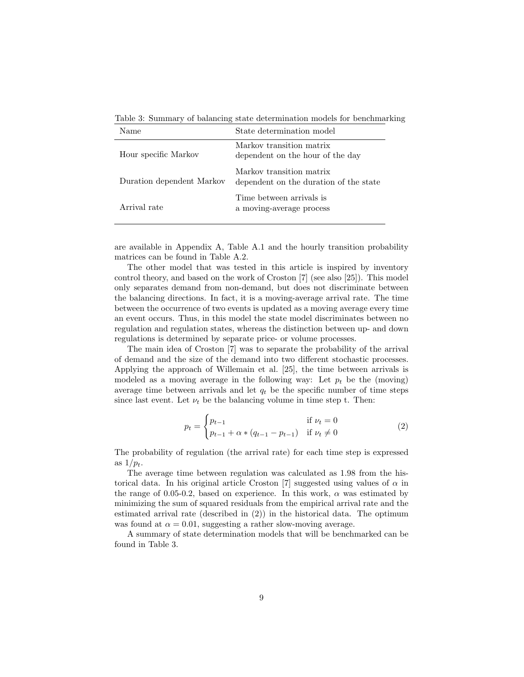Table 3: Summary of balancing state determination models for benchmarking

| Name                      | State determination model                                          |
|---------------------------|--------------------------------------------------------------------|
| Hour specific Markov      | Markov transition matrix<br>dependent on the hour of the day       |
| Duration dependent Markov | Markov transition matrix<br>dependent on the duration of the state |
| Arrival rate              | Time between arrivals is<br>a moving-average process               |

are available in Appendix A, Table A.1 and the hourly transition probability matrices can be found in Table A.2.

The other model that was tested in this article is inspired by inventory control theory, and based on the work of Croston [7] (see also [25]). This model only separates demand from non-demand, but does not discriminate between the balancing directions. In fact, it is a moving-average arrival rate. The time between the occurrence of two events is updated as a moving average every time an event occurs. Thus, in this model the state model discriminates between no regulation and regulation states, whereas the distinction between up- and down regulations is determined by separate price- or volume processes.

The main idea of Croston [7] was to separate the probability of the arrival of demand and the size of the demand into two different stochastic processes. Applying the approach of Willemain et al. [25], the time between arrivals is modeled as a moving average in the following way: Let  $p_t$  be the (moving) average time between arrivals and let  $q_t$  be the specific number of time steps since last event. Let  $\nu_t$  be the balancing volume in time step t. Then:

$$
p_t = \begin{cases} p_{t-1} & \text{if } \nu_t = 0\\ p_{t-1} + \alpha * (q_{t-1} - p_{t-1}) & \text{if } \nu_t \neq 0 \end{cases}
$$
 (2)

The probability of regulation (the arrival rate) for each time step is expressed as  $1/p_t$ .

The average time between regulation was calculated as 1.98 from the historical data. In his original article Croston [7] suggested using values of  $\alpha$  in the range of 0.05-0.2, based on experience. In this work,  $\alpha$  was estimated by minimizing the sum of squared residuals from the empirical arrival rate and the estimated arrival rate (described in (2)) in the historical data. The optimum was found at  $\alpha = 0.01$ , suggesting a rather slow-moving average.

A summary of state determination models that will be benchmarked can be found in Table 3.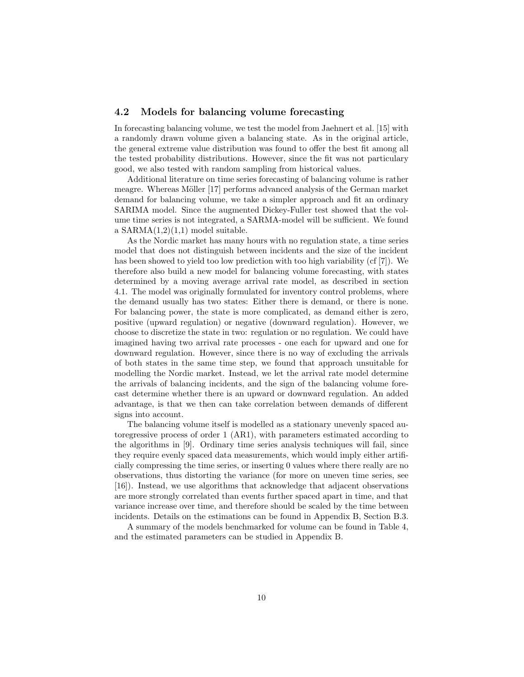#### 4.2 Models for balancing volume forecasting

In forecasting balancing volume, we test the model from Jaehnert et al. [15] with a randomly drawn volume given a balancing state. As in the original article, the general extreme value distribution was found to offer the best fit among all the tested probability distributions. However, since the fit was not particulary good, we also tested with random sampling from historical values.

Additional literature on time series forecasting of balancing volume is rather meagre. Whereas Möller [17] performs advanced analysis of the German market demand for balancing volume, we take a simpler approach and fit an ordinary SARIMA model. Since the augmented Dickey-Fuller test showed that the volume time series is not integrated, a SARMA-model will be sufficient. We found a  $SARMA(1,2)(1,1)$  model suitable.

As the Nordic market has many hours with no regulation state, a time series model that does not distinguish between incidents and the size of the incident has been showed to yield too low prediction with too high variability (cf [7]). We therefore also build a new model for balancing volume forecasting, with states determined by a moving average arrival rate model, as described in section 4.1. The model was originally formulated for inventory control problems, where the demand usually has two states: Either there is demand, or there is none. For balancing power, the state is more complicated, as demand either is zero, positive (upward regulation) or negative (downward regulation). However, we choose to discretize the state in two: regulation or no regulation. We could have imagined having two arrival rate processes - one each for upward and one for downward regulation. However, since there is no way of excluding the arrivals of both states in the same time step, we found that approach unsuitable for modelling the Nordic market. Instead, we let the arrival rate model determine the arrivals of balancing incidents, and the sign of the balancing volume forecast determine whether there is an upward or downward regulation. An added advantage, is that we then can take correlation between demands of different signs into account.

The balancing volume itself is modelled as a stationary unevenly spaced autoregressive process of order 1 (AR1), with parameters estimated according to the algorithms in [9]. Ordinary time series analysis techniques will fail, since they require evenly spaced data measurements, which would imply either artificially compressing the time series, or inserting 0 values where there really are no observations, thus distorting the variance (for more on uneven time series, see [16]). Instead, we use algorithms that acknowledge that adjacent observations are more strongly correlated than events further spaced apart in time, and that variance increase over time, and therefore should be scaled by the time between incidents. Details on the estimations can be found in Appendix B, Section B.3.

A summary of the models benchmarked for volume can be found in Table 4, and the estimated parameters can be studied in Appendix B.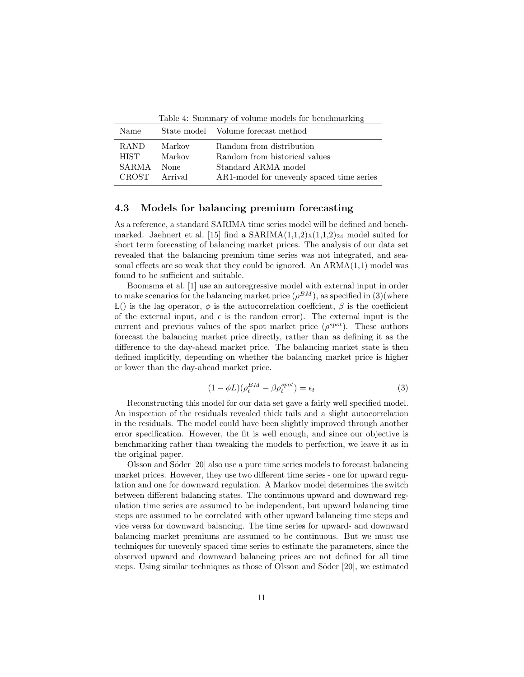Table 4: Summary of volume models for benchmarking

| AR1-model for unevenly spaced time series |
|-------------------------------------------|
|                                           |

#### 4.3 Models for balancing premium forecasting

As a reference, a standard SARIMA time series model will be defined and benchmarked. Jaehnert et al. [15] find a  $SARIMA(1,1,2)x(1,1,2)_{24}$  model suited for short term forecasting of balancing market prices. The analysis of our data set revealed that the balancing premium time series was not integrated, and seasonal effects are so weak that they could be ignored. An  $ARMA(1,1)$  model was found to be sufficient and suitable.

Boomsma et al. [1] use an autoregressive model with external input in order to make scenarios for the balancing market price  $(\rho^{BM})$ , as specified in  $(3)($  where L() is the lag operator,  $\phi$  is the autocorrelation coefficient,  $\beta$  is the coefficient of the external input, and  $\epsilon$  is the random error). The external input is the current and previous values of the spot market price  $(\rho^{spot})$ . These authors forecast the balancing market price directly, rather than as defining it as the difference to the day-ahead market price. The balancing market state is then defined implicitly, depending on whether the balancing market price is higher or lower than the day-ahead market price.

$$
(1 - \phi L)(\rho_t^{BM} - \beta \rho_t^{spot}) = \epsilon_t \tag{3}
$$

Reconstructing this model for our data set gave a fairly well specified model. An inspection of the residuals revealed thick tails and a slight autocorrelation in the residuals. The model could have been slightly improved through another error specification. However, the fit is well enough, and since our objective is benchmarking rather than tweaking the models to perfection, we leave it as in the original paper.

Olsson and Söder [20] also use a pure time series models to forecast balancing market prices. However, they use two different time series - one for upward regulation and one for downward regulation. A Markov model determines the switch between different balancing states. The continuous upward and downward regulation time series are assumed to be independent, but upward balancing time steps are assumed to be correlated with other upward balancing time steps and vice versa for downward balancing. The time series for upward- and downward balancing market premiums are assumed to be continuous. But we must use techniques for unevenly spaced time series to estimate the parameters, since the observed upward and downward balancing prices are not defined for all time steps. Using similar techniques as those of Olsson and Söder  $[20]$ , we estimated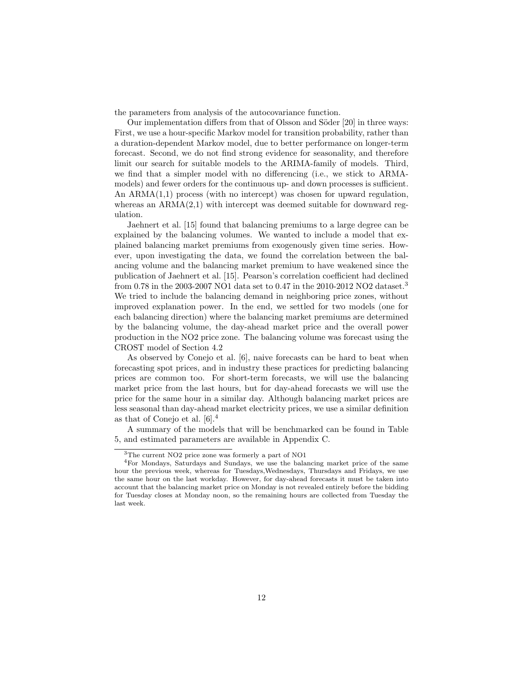the parameters from analysis of the autocovariance function.

Our implementation differs from that of Olsson and Söder [20] in three ways: First, we use a hour-specific Markov model for transition probability, rather than a duration-dependent Markov model, due to better performance on longer-term forecast. Second, we do not find strong evidence for seasonality, and therefore limit our search for suitable models to the ARIMA-family of models. Third, we find that a simpler model with no differencing (i.e., we stick to ARMAmodels) and fewer orders for the continuous up- and down processes is sufficient. An ARMA(1,1) process (with no intercept) was chosen for upward regulation, whereas an  $ARMA(2,1)$  with intercept was deemed suitable for downward regulation.

Jaehnert et al. [15] found that balancing premiums to a large degree can be explained by the balancing volumes. We wanted to include a model that explained balancing market premiums from exogenously given time series. However, upon investigating the data, we found the correlation between the balancing volume and the balancing market premium to have weakened since the publication of Jaehnert et al. [15]. Pearson's correlation coefficient had declined from 0.78 in the 2003-2007 NO1 data set to 0.47 in the 2010-2012 NO2 dataset.<sup>3</sup> We tried to include the balancing demand in neighboring price zones, without improved explanation power. In the end, we settled for two models (one for each balancing direction) where the balancing market premiums are determined by the balancing volume, the day-ahead market price and the overall power production in the NO2 price zone. The balancing volume was forecast using the CROST model of Section 4.2

As observed by Conejo et al. [6], naive forecasts can be hard to beat when forecasting spot prices, and in industry these practices for predicting balancing prices are common too. For short-term forecasts, we will use the balancing market price from the last hours, but for day-ahead forecasts we will use the price for the same hour in a similar day. Although balancing market prices are less seasonal than day-ahead market electricity prices, we use a similar definition as that of Conejo et al. [6].<sup>4</sup>

A summary of the models that will be benchmarked can be found in Table 5, and estimated parameters are available in Appendix C.

<sup>3</sup>The current NO2 price zone was formerly a part of NO1

<sup>4</sup>For Mondays, Saturdays and Sundays, we use the balancing market price of the same hour the previous week, whereas for Tuesdays,Wednesdays, Thursdays and Fridays, we use the same hour on the last workday. However, for day-ahead forecasts it must be taken into account that the balancing market price on Monday is not revealed entirely before the bidding for Tuesday closes at Monday noon, so the remaining hours are collected from Tuesday the last week.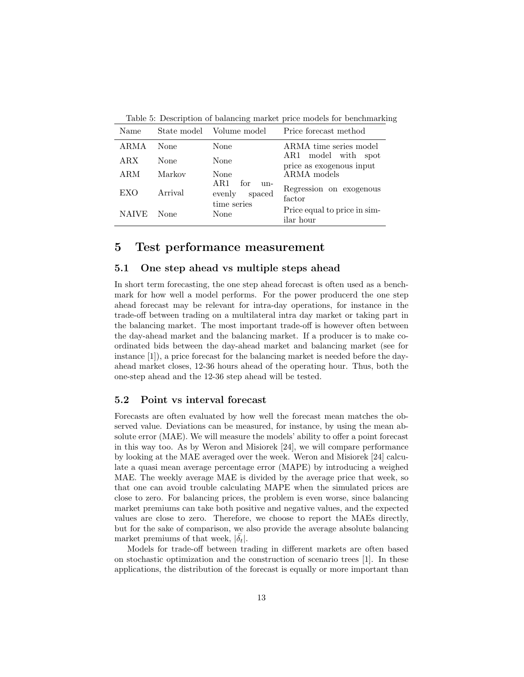| Name         |         | State model Volume model                               | Price forecast method                              |
|--------------|---------|--------------------------------------------------------|----------------------------------------------------|
| ARMA         | None    | None                                                   | ARMA time series model                             |
| ARX          | None    | None                                                   | model with spot<br>AR1<br>price as exogenous input |
| ARM          | Markov  | None                                                   | ARMA models                                        |
| EXO          | Arrival | AR1<br>for<br>$n -$<br>evenly<br>spaced<br>time series | Regression on exogenous<br>factor                  |
| <b>NAIVE</b> | None    | None                                                   | Price equal to price in sim-<br>ilar hour          |

Table 5: Description of balancing market price models for benchmarking

### 5 Test performance measurement

#### 5.1 One step ahead vs multiple steps ahead

In short term forecasting, the one step ahead forecast is often used as a benchmark for how well a model performs. For the power producerd the one step ahead forecast may be relevant for intra-day operations, for instance in the trade-off between trading on a multilateral intra day market or taking part in the balancing market. The most important trade-off is however often between the day-ahead market and the balancing market. If a producer is to make coordinated bids between the day-ahead market and balancing market (see for instance [1]), a price forecast for the balancing market is needed before the dayahead market closes, 12-36 hours ahead of the operating hour. Thus, both the one-step ahead and the 12-36 step ahead will be tested.

#### 5.2 Point vs interval forecast

Forecasts are often evaluated by how well the forecast mean matches the observed value. Deviations can be measured, for instance, by using the mean absolute error (MAE). We will measure the models' ability to offer a point forecast in this way too. As by Weron and Misiorek [24], we will compare performance by looking at the MAE averaged over the week. Weron and Misiorek [24] calculate a quasi mean average percentage error (MAPE) by introducing a weighed MAE. The weekly average MAE is divided by the average price that week, so that one can avoid trouble calculating MAPE when the simulated prices are close to zero. For balancing prices, the problem is even worse, since balancing market premiums can take both positive and negative values, and the expected values are close to zero. Therefore, we choose to report the MAEs directly, but for the sake of comparison, we also provide the average absolute balancing market premiums of that week,  $|\delta_t|$ .

Models for trade-off between trading in different markets are often based on stochastic optimization and the construction of scenario trees [1]. In these applications, the distribution of the forecast is equally or more important than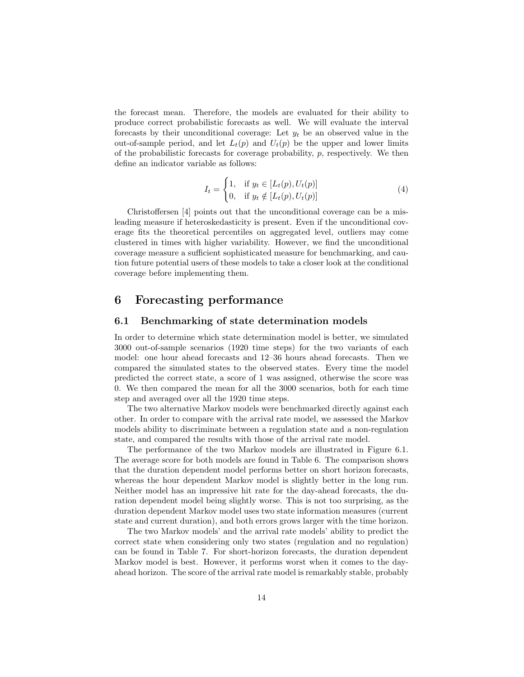the forecast mean. Therefore, the models are evaluated for their ability to produce correct probabilistic forecasts as well. We will evaluate the interval forecasts by their unconditional coverage: Let  $y_t$  be an observed value in the out-of-sample period, and let  $L_t(p)$  and  $U_t(p)$  be the upper and lower limits of the probabilistic forecasts for coverage probability,  $p$ , respectively. We then define an indicator variable as follows:

$$
I_t = \begin{cases} 1, & \text{if } y_t \in [L_t(p), U_t(p)] \\ 0, & \text{if } y_t \notin [L_t(p), U_t(p)] \end{cases} \tag{4}
$$

Christoffersen [4] points out that the unconditional coverage can be a misleading measure if heteroskedasticity is present. Even if the unconditional coverage fits the theoretical percentiles on aggregated level, outliers may come clustered in times with higher variability. However, we find the unconditional coverage measure a sufficient sophisticated measure for benchmarking, and caution future potential users of these models to take a closer look at the conditional coverage before implementing them.

## 6 Forecasting performance

#### 6.1 Benchmarking of state determination models

In order to determine which state determination model is better, we simulated 3000 out-of-sample scenarios (1920 time steps) for the two variants of each model: one hour ahead forecasts and 12–36 hours ahead forecasts. Then we compared the simulated states to the observed states. Every time the model predicted the correct state, a score of 1 was assigned, otherwise the score was 0. We then compared the mean for all the 3000 scenarios, both for each time step and averaged over all the 1920 time steps.

The two alternative Markov models were benchmarked directly against each other. In order to compare with the arrival rate model, we assessed the Markov models ability to discriminate between a regulation state and a non-regulation state, and compared the results with those of the arrival rate model.

The performance of the two Markov models are illustrated in Figure 6.1. The average score for both models are found in Table 6. The comparison shows that the duration dependent model performs better on short horizon forecasts, whereas the hour dependent Markov model is slightly better in the long run. Neither model has an impressive hit rate for the day-ahead forecasts, the duration dependent model being slightly worse. This is not too surprising, as the duration dependent Markov model uses two state information measures (current state and current duration), and both errors grows larger with the time horizon.

The two Markov models' and the arrival rate models' ability to predict the correct state when considering only two states (regulation and no regulation) can be found in Table 7. For short-horizon forecasts, the duration dependent Markov model is best. However, it performs worst when it comes to the dayahead horizon. The score of the arrival rate model is remarkably stable, probably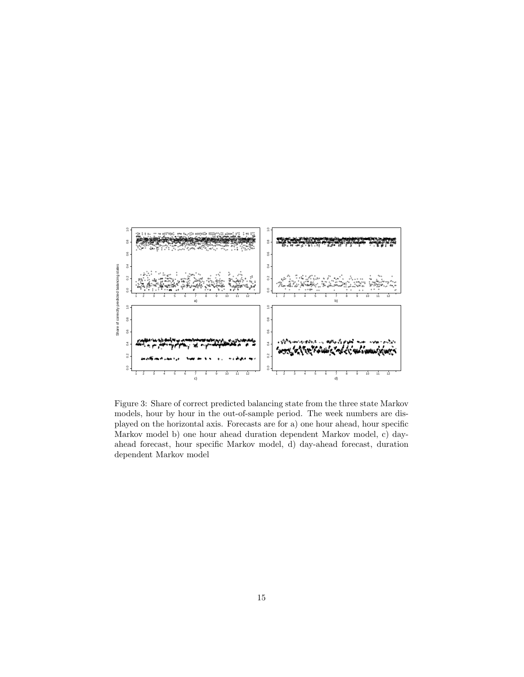

Figure 3: Share of correct predicted balancing state from the three state Markov models, hour by hour in the out-of-sample period. The week numbers are displayed on the horizontal axis. Forecasts are for a) one hour ahead, hour specific Markov model b) one hour ahead duration dependent Markov model, c) dayahead forecast, hour specific Markov model, d) day-ahead forecast, duration dependent Markov model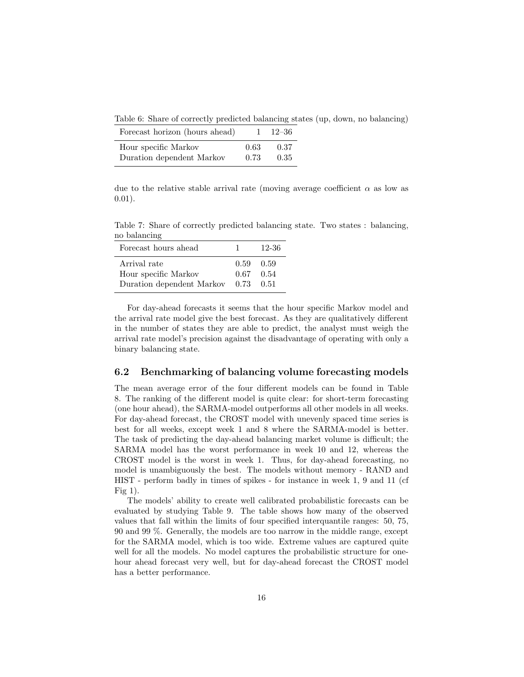Table 6: Share of correctly predicted balancing states (up, down, no balancing)

| Forecast horizon (hours ahead) |      | $1 \quad 12 - 36$ |
|--------------------------------|------|-------------------|
| Hour specific Markov           | 0.63 | 0.37              |
| Duration dependent Markov      | 0.73 | 0.35              |

due to the relative stable arrival rate (moving average coefficient  $\alpha$  as low as 0.01).

Table 7: Share of correctly predicted balancing state. Two states : balancing, no balancing

| Forecast hours ahead                                              | Т.                                       | -12-36 |
|-------------------------------------------------------------------|------------------------------------------|--------|
| Arrival rate<br>Hour specific Markov<br>Duration dependent Markov | $0.59 \quad 0.59$<br>$0.67$ 0.54<br>0.73 | 0.51   |

For day-ahead forecasts it seems that the hour specific Markov model and the arrival rate model give the best forecast. As they are qualitatively different in the number of states they are able to predict, the analyst must weigh the arrival rate model's precision against the disadvantage of operating with only a binary balancing state.

#### 6.2 Benchmarking of balancing volume forecasting models

The mean average error of the four different models can be found in Table 8. The ranking of the different model is quite clear: for short-term forecasting (one hour ahead), the SARMA-model outperforms all other models in all weeks. For day-ahead forecast, the CROST model with unevenly spaced time series is best for all weeks, except week 1 and 8 where the SARMA-model is better. The task of predicting the day-ahead balancing market volume is difficult; the SARMA model has the worst performance in week 10 and 12, whereas the CROST model is the worst in week 1. Thus, for day-ahead forecasting, no model is unambiguously the best. The models without memory - RAND and HIST - perform badly in times of spikes - for instance in week 1, 9 and 11 (cf Fig  $1$ ).

The models' ability to create well calibrated probabilistic forecasts can be evaluated by studying Table 9. The table shows how many of the observed values that fall within the limits of four specified interquantile ranges: 50, 75, 90 and 99 %. Generally, the models are too narrow in the middle range, except for the SARMA model, which is too wide. Extreme values are captured quite well for all the models. No model captures the probabilistic structure for onehour ahead forecast very well, but for day-ahead forecast the CROST model has a better performance.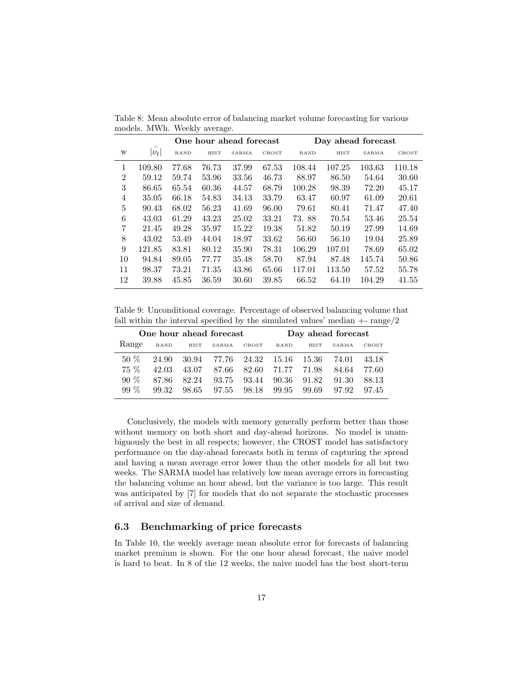|                |           |             |       | One hour ahead forecast |       |        |        | Day ahead forecast |        |
|----------------|-----------|-------------|-------|-------------------------|-------|--------|--------|--------------------|--------|
| W              | $ \nu_t $ | <b>RAND</b> | HIST  | SARMA                   | CROST | RAND   | HIST   | SARMA              | CROST  |
| 1              | 109.80    | 77.68       | 76.73 | 37.99                   | 67.53 | 108.44 | 107.25 | 103.63             | 110.18 |
| $\overline{2}$ | 59.12     | 59.74       | 53.96 | 33.56                   | 46.73 | 88.97  | 86.50  | 54.64              | 30.60  |
| 3              | 86.65     | 65.54       | 60.36 | 44.57                   | 68.79 | 100.28 | 98.39  | 72.20              | 45.17  |
| 4              | 35.05     | 66.18       | 54.83 | 34.13                   | 33.79 | 63.47  | 60.97  | 61.09              | 20.61  |
| 5              | 90.43     | 68.02       | 56.23 | 41.69                   | 96.00 | 79.61  | 80.41  | 71.47              | 47.40  |
| 6              | 43.03     | 61.29       | 43.23 | 25.02                   | 33.21 | 73.88  | 70.54  | 53.46              | 25.54  |
| 7              | 21.45     | 49.28       | 35.97 | 15.22                   | 19.38 | 51.82  | 50.19  | 27.99              | 14.69  |
| 8              | 43.02     | 53.49       | 44.04 | 18.97                   | 33.62 | 56.60  | 56.10  | 19.04              | 25.89  |
| 9              | 121.85    | 83.81       | 80.12 | 35.90                   | 78.31 | 106.29 | 107.01 | 78.69              | 65.02  |
| 10             | 94.84     | 89.05       | 77.77 | 35.48                   | 58.70 | 87.94  | 87.48  | 145.74             | 50.86  |
| 11             | 98.37     | 73.21       | 71.35 | 43.86                   | 65.66 | 117.01 | 113.50 | 57.52              | 55.78  |
| 12             | 39.88     | 45.85       | 36.59 | 30.60                   | 39.85 | 66.52  | 64.10  | 104.29             | 41.55  |

Table 8: Mean absolute error of balancing market volume forecasting for various models. MWh. Weekly average.

Table 9: Unconditional coverage. Percentage of observed balancing volume that fall within the interval specified by the simulated values' median  $+$ - range $/2$ 

| One hour ahead forecast |             |       |         |             |             |         | Day ahead forecast |       |
|-------------------------|-------------|-------|---------|-------------|-------------|---------|--------------------|-------|
| Range                   | <b>RAND</b> | HIST  | SARMA   | CROST       | <b>RAND</b> | HIST    | SARMA              | CROST |
| $50\%$                  | 24.90       | 30.94 | - 77.76 | 24.32 15.16 |             | - 15.36 | 74.01              | 43.18 |
| $75\%$                  | 42.03       | 43.07 | 87.66   | 82.60       | 71.77       | 71.98   | 84.64              | 77.60 |
| $90\%$                  | 87.86       | 82.24 | 93.75   | 93.44       | 90.36       | 91.82   | 91.30              | 88 13 |
| $99\%$                  | 99.32       | 98.65 | 97.55   | 98.18       | 99.95       | 99.69   | 97.92              | 97.45 |

Conclusively, the models with memory generally perform better than those without memory on both short and day-ahead horizons. No model is unambiguously the best in all respects; however, the CROST model has satisfactory performance on the day-ahead forecasts both in terms of capturing the spread and having a mean average error lower than the other models for all but two weeks. The SARMA model has relatively low mean average errors in forecasting the balancing volume an hour ahead, but the variance is too large. This result was anticipated by [7] for models that do not separate the stochastic processes of arrival and size of demand.

### 6.3 Benchmarking of price forecasts

In Table 10, the weekly average mean absolute error for forecasts of balancing market premium is shown. For the one hour ahead forecast, the naive model is hard to beat. In 8 of the 12 weeks, the naive model has the best short-term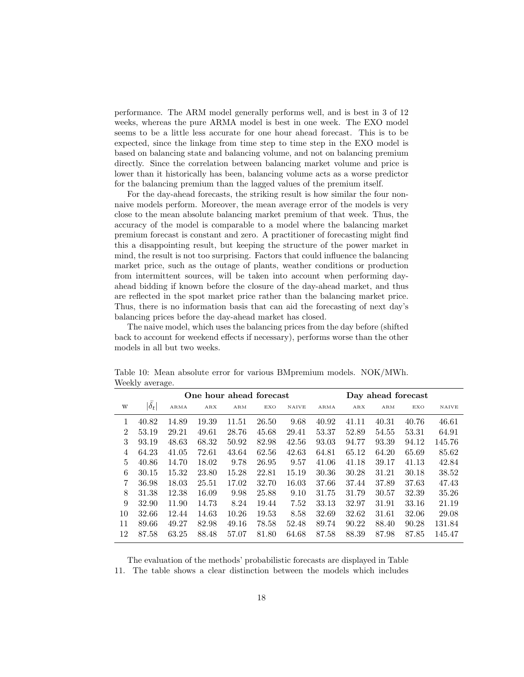performance. The ARM model generally performs well, and is best in 3 of 12 weeks, whereas the pure ARMA model is best in one week. The EXO model seems to be a little less accurate for one hour ahead forecast. This is to be expected, since the linkage from time step to time step in the EXO model is based on balancing state and balancing volume, and not on balancing premium directly. Since the correlation between balancing market volume and price is lower than it historically has been, balancing volume acts as a worse predictor for the balancing premium than the lagged values of the premium itself.

For the day-ahead forecasts, the striking result is how similar the four nonnaive models perform. Moreover, the mean average error of the models is very close to the mean absolute balancing market premium of that week. Thus, the accuracy of the model is comparable to a model where the balancing market premium forecast is constant and zero. A practitioner of forecasting might find this a disappointing result, but keeping the structure of the power market in mind, the result is not too surprising. Factors that could influence the balancing market price, such as the outage of plants, weather conditions or production from intermittent sources, will be taken into account when performing dayahead bidding if known before the closure of the day-ahead market, and thus are reflected in the spot market price rather than the balancing market price. Thus, there is no information basis that can aid the forecasting of next day's balancing prices before the day-ahead market has closed.

The naive model, which uses the balancing prices from the day before (shifted back to account for weekend effects if necessary), performs worse than the other models in all but two weeks.

|                |              | One hour ahead forecast |       |       |       |              |       |       | Day ahead forecast |       |              |
|----------------|--------------|-------------------------|-------|-------|-------|--------------|-------|-------|--------------------|-------|--------------|
| W              | $ \delta_t $ | ARMA                    | ARX   | ARM   | EXO   | <b>NAIVE</b> | ARMA  | ARX   | ARM                | EXO   | <b>NAIVE</b> |
| 1              | 40.82        | 14.89                   | 19.39 | 11.51 | 26.50 | 9.68         | 40.92 | 41.11 | 40.31              | 40.76 | 46.61        |
| $\overline{2}$ | 53.19        | 29.21                   | 49.61 | 28.76 | 45.68 | 29.41        | 53.37 | 52.89 | 54.55              | 53.31 | 64.91        |
| 3              | 93.19        | 48.63                   | 68.32 | 50.92 | 82.98 | 42.56        | 93.03 | 94.77 | 93.39              | 94.12 | 145.76       |
| 4              | 64.23        | 41.05                   | 72.61 | 43.64 | 62.56 | 42.63        | 64.81 | 65.12 | 64.20              | 65.69 | 85.62        |
| 5              | 40.86        | 14.70                   | 18.02 | 9.78  | 26.95 | 9.57         | 41.06 | 41.18 | 39.17              | 41.13 | 42.84        |
| 6              | 30.15        | 15.32                   | 23.80 | 15.28 | 22.81 | 15.19        | 30.36 | 30.28 | 31.21              | 30.18 | 38.52        |
| 7              | 36.98        | 18.03                   | 25.51 | 17.02 | 32.70 | 16.03        | 37.66 | 37.44 | 37.89              | 37.63 | 47.43        |
| 8              | 31.38        | 12.38                   | 16.09 | 9.98  | 25.88 | 9.10         | 31.75 | 31.79 | 30.57              | 32.39 | 35.26        |
| 9              | 32.90        | 11.90                   | 14.73 | 8.24  | 19.44 | 7.52         | 33.13 | 32.97 | 31.91              | 33.16 | 21.19        |
| 10             | 32.66        | 12.44                   | 14.63 | 10.26 | 19.53 | 8.58         | 32.69 | 32.62 | 31.61              | 32.06 | 29.08        |
| 11             | 89.66        | 49.27                   | 82.98 | 49.16 | 78.58 | 52.48        | 89.74 | 90.22 | 88.40              | 90.28 | 131.84       |
| 12             | 87.58        | 63.25                   | 88.48 | 57.07 | 81.80 | 64.68        | 87.58 | 88.39 | 87.98              | 87.85 | 145.47       |

Table 10: Mean absolute error for various BMpremium models. NOK/MWh. Weekly average.

The evaluation of the methods' probabilistic forecasts are displayed in Table 11. The table shows a clear distinction between the models which includes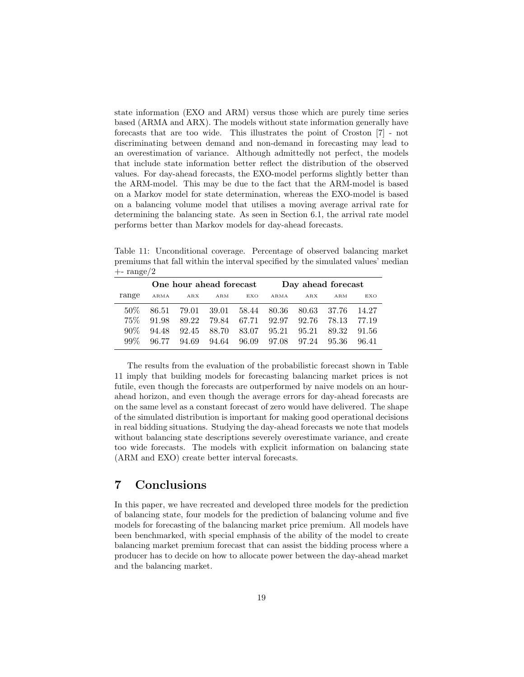state information (EXO and ARM) versus those which are purely time series based (ARMA and ARX). The models without state information generally have forecasts that are too wide. This illustrates the point of Croston [7] - not discriminating between demand and non-demand in forecasting may lead to an overestimation of variance. Although admittedly not perfect, the models that include state information better reflect the distribution of the observed values. For day-ahead forecasts, the EXO-model performs slightly better than the ARM-model. This may be due to the fact that the ARM-model is based on a Markov model for state determination, whereas the EXO-model is based on a balancing volume model that utilises a moving average arrival rate for determining the balancing state. As seen in Section 6.1, the arrival rate model performs better than Markov models for day-ahead forecasts.

Table 11: Unconditional coverage. Percentage of observed balancing market premiums that fall within the interval specified by the simulated values' median  $+$ - range $/2$ 

|        | One hour ahead forecast |       |             |       | Day ahead forecast |       |        |       |
|--------|-------------------------|-------|-------------|-------|--------------------|-------|--------|-------|
| range  | ARMA                    | ARX   | ARM         | EXO   | ARMA               | A R X | ARM    | EXO   |
| .50\%  | 86.51                   | 79.01 | 39.01 58.44 |       | 80.36              | 80.63 | -37.76 | 14.27 |
| $75\%$ | 91.98                   | 89.22 | 79.84 67.71 |       | 92.97              | 92.76 | 78.13  | 77.19 |
| $90\%$ | 94.48                   | 92.45 | 88.70       | 83.07 | 95.21              | 95.21 | 89.32  | 91.56 |
| $99\%$ | 96.77                   | 94.69 | 94.64       | 96.09 | 97.08              | 97.24 | 95.36  | 96.41 |

The results from the evaluation of the probabilistic forecast shown in Table 11 imply that building models for forecasting balancing market prices is not futile, even though the forecasts are outperformed by naive models on an hourahead horizon, and even though the average errors for day-ahead forecasts are on the same level as a constant forecast of zero would have delivered. The shape of the simulated distribution is important for making good operational decisions in real bidding situations. Studying the day-ahead forecasts we note that models without balancing state descriptions severely overestimate variance, and create too wide forecasts. The models with explicit information on balancing state (ARM and EXO) create better interval forecasts.

# 7 Conclusions

In this paper, we have recreated and developed three models for the prediction of balancing state, four models for the prediction of balancing volume and five models for forecasting of the balancing market price premium. All models have been benchmarked, with special emphasis of the ability of the model to create balancing market premium forecast that can assist the bidding process where a producer has to decide on how to allocate power between the day-ahead market and the balancing market.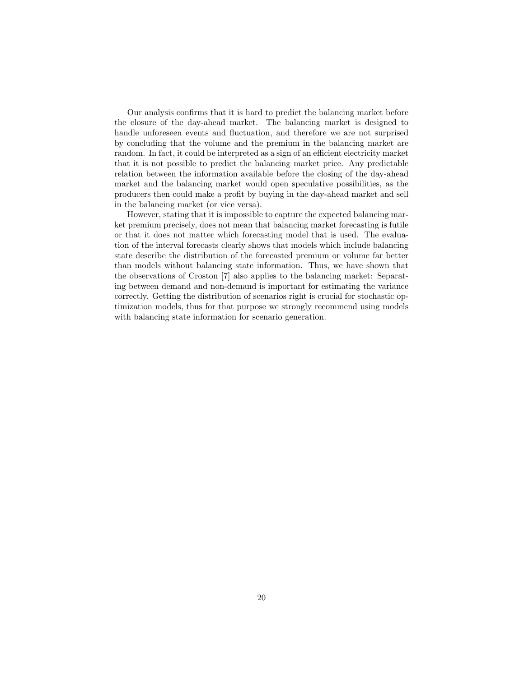Our analysis confirms that it is hard to predict the balancing market before the closure of the day-ahead market. The balancing market is designed to handle unforeseen events and fluctuation, and therefore we are not surprised by concluding that the volume and the premium in the balancing market are random. In fact, it could be interpreted as a sign of an efficient electricity market that it is not possible to predict the balancing market price. Any predictable relation between the information available before the closing of the day-ahead market and the balancing market would open speculative possibilities, as the producers then could make a profit by buying in the day-ahead market and sell in the balancing market (or vice versa).

However, stating that it is impossible to capture the expected balancing market premium precisely, does not mean that balancing market forecasting is futile or that it does not matter which forecasting model that is used. The evaluation of the interval forecasts clearly shows that models which include balancing state describe the distribution of the forecasted premium or volume far better than models without balancing state information. Thus, we have shown that the observations of Croston [7] also applies to the balancing market: Separating between demand and non-demand is important for estimating the variance correctly. Getting the distribution of scenarios right is crucial for stochastic optimization models, thus for that purpose we strongly recommend using models with balancing state information for scenario generation.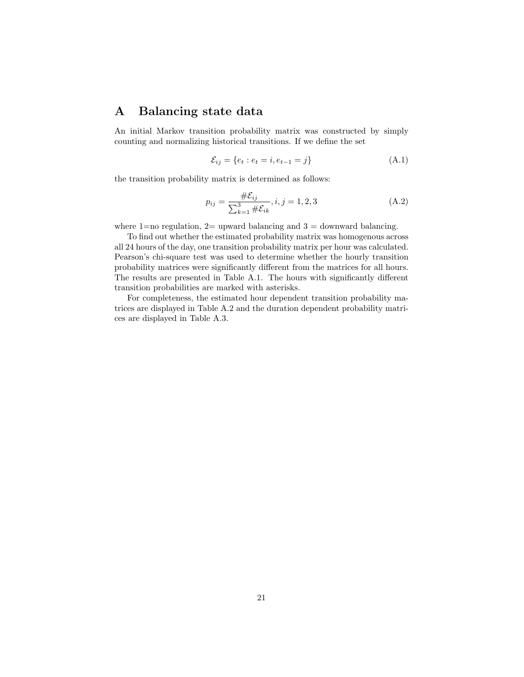# A Balancing state data

An initial Markov transition probability matrix was constructed by simply counting and normalizing historical transitions. If we define the set

$$
\mathcal{E}_{ij} = \{e_t : e_t = i, e_{t-1} = j\}
$$
\n(A.1)

the transition probability matrix is determined as follows:

$$
p_{ij} = \frac{\# \mathcal{E}_{ij}}{\sum_{k=1}^{3} \# \mathcal{E}_{ik}}, i, j = 1, 2, 3
$$
 (A.2)

where 1=no regulation,  $2=$  upward balancing and  $3=$  downward balancing.

To find out whether the estimated probability matrix was homogenous across all 24 hours of the day, one transition probability matrix per hour was calculated. Pearson's chi-square test was used to determine whether the hourly transition probability matrices were significantly different from the matrices for all hours. The results are presented in Table A.1. The hours with significantly different transition probabilities are marked with asterisks.

For completeness, the estimated hour dependent transition probability matrices are displayed in Table A.2 and the duration dependent probability matrices are displayed in Table A.3.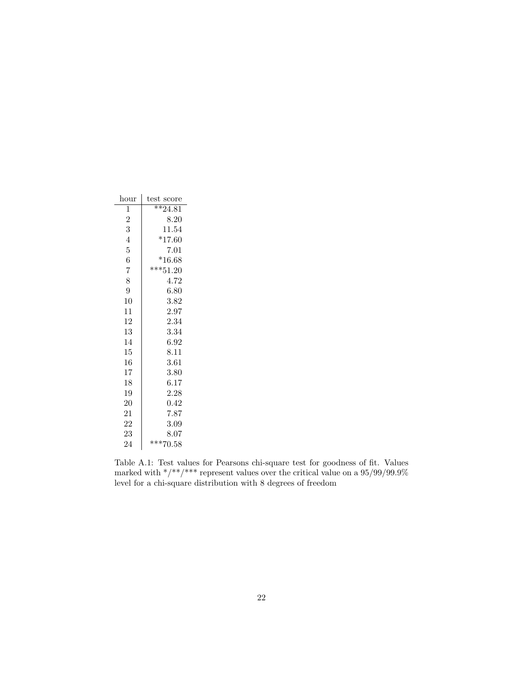| hour   | test score |
|--------|------------|
| 1      | $**24.81$  |
| 2      | 8.20       |
| 3      | 11.54      |
| 4      | $*17.60$   |
| 5      | 7.01       |
| 6      | $*16.68$   |
| 7      | $***51.20$ |
| 8      | 4.72       |
| 9      | 6.80       |
| $10\,$ | 3.82       |
| 11     | 2.97       |
| 12     | 2.34       |
| 13     | 3.34       |
| 14     | 6.92       |
| 15     | 8.11       |
| 16     | 3.61       |
| 17     | 3.80       |
| 18     | 6.17       |
| 19     | 2.28       |
| 20     | 0.42       |
| 21     | 7.87       |
| 22     | 3.09       |
| 23     | 8.07       |
| 24     | $***70.58$ |

Table A.1: Test values for Pearsons chi-square test for goodness of fit. Values marked with  $\frac{\ast}{\ast}$   $\frac{\ast\ast}{\ast}$  represent values over the critical value on a 95/99/99.9% level for a chi-square distribution with 8 degrees of freedom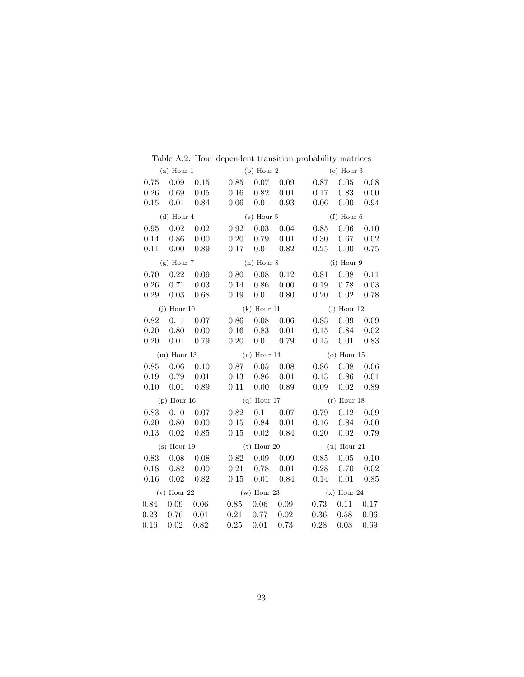|      |                              |                      |                                                                                                                       |                      |                              |                                                                                          | $(c)$ Hour 3                 |                   |
|------|------------------------------|----------------------|-----------------------------------------------------------------------------------------------------------------------|----------------------|------------------------------|------------------------------------------------------------------------------------------|------------------------------|-------------------|
|      |                              |                      |                                                                                                                       |                      |                              | (a) Hour 1 (b) Hour 2 (c) Hour 3<br>0.75 0.09 0.15 0.85 0.07 0.09 0.87 0.05 0.08         |                              |                   |
|      | $0.26$ $0.69$ $0.05$         |                      | $0.16$ $0.82$ $0.01$                                                                                                  |                      |                              |                                                                                          | $0.17$ $0.83$ $0.00$         |                   |
|      |                              | $0.15$ $0.01$ $0.84$ |                                                                                                                       |                      | $0.06$ $0.01$ $0.93$         |                                                                                          | $0.06$ $0.00$ $0.94$         |                   |
|      | $(d)$ Hour 4                 |                      |                                                                                                                       |                      | $(e)$ Hour $5$               |                                                                                          | $(f)$ Hour 6                 |                   |
|      |                              |                      | $0.95$ $0.02$ $0.02$ $0.92$ $0.03$ $0.04$                                                                             |                      |                              | 0.85                                                                                     |                              | $0.06$ 0.10       |
|      | $0.14$ $0.86$ $0.00$         |                      |                                                                                                                       |                      | $0.20 \quad 0.79 \quad 0.01$ |                                                                                          | $0.30 \quad 0.67 \quad 0.02$ |                   |
|      |                              | $0.11$ $0.00$ $0.89$ |                                                                                                                       |                      | $0.17$ $0.01$ $0.82$         |                                                                                          | $0.25\quad 0.00\quad 0.75$   |                   |
|      |                              | $(g)$ Hour $7$       |                                                                                                                       |                      |                              | $(h)$ Hour 8 $(i)$ Hour 9                                                                |                              |                   |
|      |                              |                      | $0.70$ $0.22$ $0.09$ $0.80$ $0.08$ $0.12$                                                                             |                      |                              |                                                                                          | $0.81\quad 0.08\quad 0.11$   |                   |
|      | $0.26$ $0.71$ $0.03$         |                      | $0.14$ $0.86$ $0.00$                                                                                                  |                      |                              |                                                                                          | $0.19$ $0.78$ $0.03$         |                   |
|      | $0.29$ 0.03                  |                      | $0.68$ $0.19$ $0.01$ $0.80$                                                                                           |                      |                              |                                                                                          | $0.20 \quad 0.02 \quad 0.78$ |                   |
|      |                              | $(j)$ Hour 10        | $(k)$ Hour 11                                                                                                         |                      |                              | $(l)$ Hour 12                                                                            |                              |                   |
|      | $0.82$ $0.11$ $0.07$         |                      |                                                                                                                       |                      | $0.86$ 0.08 0.06             |                                                                                          | $0.83$ $0.09$ $0.09$         |                   |
|      | $0.20 \quad 0.80 \quad 0.00$ |                      |                                                                                                                       |                      | $0.16$ $0.83$ $0.01$         |                                                                                          | $0.15$ $0.84$ $0.02$         |                   |
|      | $0.20 \quad 0.01$            | 0.79                 |                                                                                                                       |                      | $0.20 \quad 0.01 \quad 0.79$ |                                                                                          | $0.15$ $0.01$ $0.83$         |                   |
|      |                              |                      | $(m)$ Hour 13 $(n)$ Hour 14                                                                                           |                      |                              | $(o)$ Hour $15$                                                                          |                              |                   |
|      |                              |                      | $0.85$ $0.06$ $0.10$ $0.87$ $0.05$ $0.08$                                                                             |                      |                              |                                                                                          | $0.86$ $0.08$ $0.06$         |                   |
|      | $0.19$ $0.79$ $0.01$         |                      | $0.13 \quad 0.86 \quad 0.01$                                                                                          |                      |                              |                                                                                          | $0.13 \quad 0.86 \quad 0.01$ |                   |
|      |                              |                      | $0.10$ $0.01$ $0.89$ $0.11$ $0.00$ $0.89$                                                                             |                      |                              |                                                                                          | $0.09 \quad 0.02 \quad 0.89$ |                   |
|      |                              |                      | (p) Hour $16$ (q) Hour $17$                                                                                           |                      |                              | $(r)$ Hour 18                                                                            |                              |                   |
|      | $0.83$ $0.10$ $0.07$         |                      | $0.82$ $0.11$ $0.07$                                                                                                  |                      |                              |                                                                                          | $0.79$ $0.12$ $0.09$         |                   |
|      | $0.20$ $0.80$ $0.00$         |                      |                                                                                                                       | $0.15$ $0.84$ $0.01$ |                              |                                                                                          | $0.16$ $0.84$ $0.00$         |                   |
|      |                              |                      | $0.13 \quad 0.02 \quad 0.85 \qquad 0.15 \quad 0.02 \quad 0.84$                                                        |                      |                              |                                                                                          | $0.20 \quad 0.02 \quad 0.79$ |                   |
|      |                              |                      |                                                                                                                       |                      |                              | (s) Hour 19 (t) Hour 20 (u) Hour 21                                                      |                              |                   |
|      | $0.83$ $0.08$ $0.08$         |                      |                                                                                                                       |                      | $0.82 \quad 0.09 \quad 0.09$ |                                                                                          | $0.85$ $0.05$ $0.10$         |                   |
|      | $0.18$ $0.82$ $0.00$         |                      | $0.21 \quad 0.78 \quad 0.01$                                                                                          |                      |                              | 0.28                                                                                     |                              | $0.70 \quad 0.02$ |
| 0.16 |                              |                      | $0.02 \quad 0.82 \qquad 0.15 \quad 0.01 \quad 0.84$                                                                   |                      |                              | 0.14                                                                                     |                              | $0.01$ 0.85       |
|      |                              |                      |                                                                                                                       |                      |                              | (v) Hour 22 (w) Hour 23 (x) Hour 24                                                      |                              |                   |
|      |                              |                      |                                                                                                                       |                      |                              | $0.84\quad 0.09\quad 0.06\qquad 0.85\quad 0.06\quad 0.09\qquad 0.73\quad 0.11\quad 0.17$ |                              |                   |
|      |                              |                      | $\begin{array}{cccccc} 0.23 & 0.76 & 0.01 & 0.21 & 0.77 & 0.02 \ 0.16 & 0.02 & 0.82 & 0.25 & 0.01 & 0.73 \end{array}$ |                      |                              |                                                                                          | $0.36\quad 0.58\quad 0.06$   |                   |
|      |                              |                      |                                                                                                                       |                      |                              | 0.28                                                                                     | 0.03                         | 0.69              |

Table A.2: Hour dependent transition probability matrices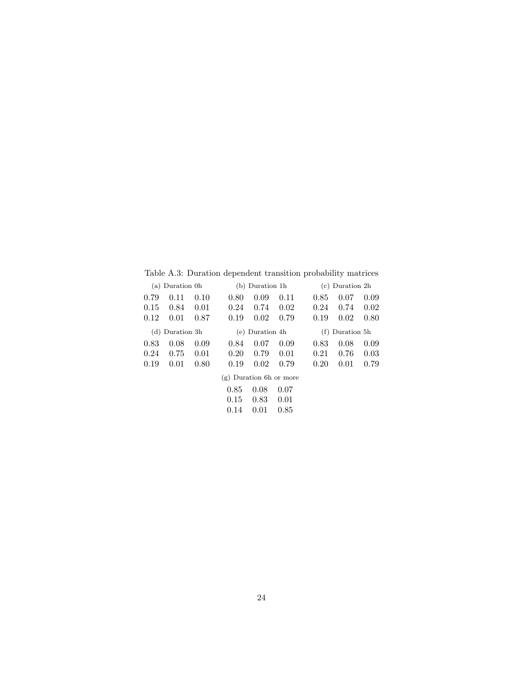Table A.3: Duration dependent transition probability matrices

| (a)  | Duration 0h     |      |                           | (b) Duration 1h |      |      | $(c)$ Duration $2h$ |      |
|------|-----------------|------|---------------------------|-----------------|------|------|---------------------|------|
| 0.79 | 0.11            | 0.10 | 0.80                      | 0.09            | 0.11 | 0.85 | 0.07                | 0.09 |
| 0.15 | 0.84            | 0.01 | 0.24                      | 0.74            | 0.02 | 0.24 | 0.74                | 0.02 |
| 0.12 | 0.01            | 0.87 | 0.19                      | 0.02            | 0.79 | 0.19 | 0.02                | 0.80 |
|      | (d) Duration 3h |      |                           | (e) Duration 4h |      |      | $(f)$ Duration 5h   |      |
| 0.83 | 0.08            | 0.09 | 0.84                      | 0.07            | 0.09 | 0.83 | 0.08                | 0.09 |
| 0.24 | 0.75            | 0.01 | 0.20                      | 0.79            | 0.01 | 0.21 | 0.76                | 0.03 |
| 0.19 | 0.01            | 0.80 | 0.19                      | 0.02            | 0.79 | 0.20 | 0.01                | 0.79 |
|      |                 |      | $(g)$ Duration 6h or more |                 |      |      |                     |      |
|      |                 |      | 0.85                      | 0.08            | 0.07 |      |                     |      |
|      |                 |      | 0.15                      | 0.83            | 0.01 |      |                     |      |
|      |                 |      | 0.14                      | 0.01            | 0.85 |      |                     |      |
|      |                 |      |                           |                 |      |      |                     |      |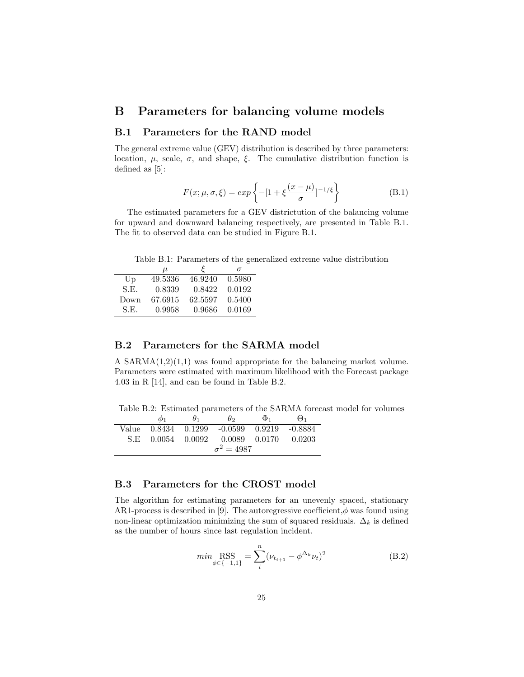### B Parameters for balancing volume models

#### B.1 Parameters for the RAND model

The general extreme value (GEV) distribution is described by three parameters: location,  $\mu$ , scale,  $\sigma$ , and shape,  $\xi$ . The cumulative distribution function is defined as [5]:

$$
F(x; \mu, \sigma, \xi) = exp\left\{-[1 + \xi \frac{(x - \mu)}{\sigma}]^{-1/\xi}\right\}
$$
 (B.1)

The estimated parameters for a GEV districtution of the balancing volume for upward and downward balancing respectively, are presented in Table B.1. The fit to observed data can be studied in Figure B.1.

Table B.1: Parameters of the generalized extreme value distribution

|      | $\mu$   | ≻       | $\sigma$ |
|------|---------|---------|----------|
| Up   | 49.5336 | 46.9240 | 0.5980   |
| S.E. | 0.8339  | 0.8422  | 0.0192   |
| Down | 67.6915 | 62.5597 | 0.5400   |
| S.F. | 0.9958  | 0.9686  | 0.0169   |

#### B.2 Parameters for the SARMA model

A SARMA $(1,2)(1,1)$  was found appropriate for the balancing market volume. Parameters were estimated with maximum likelihood with the Forecast package 4.03 in R [14], and can be found in Table B.2.

Table B.2: Estimated parameters of the SARMA forecast model for volumes

|     | $\mathcal{D}$ 1     | $H_1$ | θ2                                  | $\Phi_1$ | $\Theta_1$ |  |
|-----|---------------------|-------|-------------------------------------|----------|------------|--|
|     | Value 0.8434 0.1299 |       | $-0.0599$ $0.9219$                  |          | -0.8884    |  |
| SE. |                     |       | $0.0054$ $0.0092$ $0.0089$ $0.0170$ |          | 0.0203     |  |
|     | $\sigma^2 = 4987$   |       |                                     |          |            |  |

#### B.3 Parameters for the CROST model

The algorithm for estimating parameters for an unevenly spaced, stationary AR1-process is described in [9]. The autoregressive coefficient, $\phi$  was found using non-linear optimization minimizing the sum of squared residuals.  $\Delta_k$  is defined as the number of hours since last regulation incident.

$$
\min_{\phi \in \{-1,1\}} \text{RSS}_{i} = \sum_{i}^{n} (\nu_{t_{i+1}} - \phi^{\Delta_k} \nu_t)^2
$$
\n(B.2)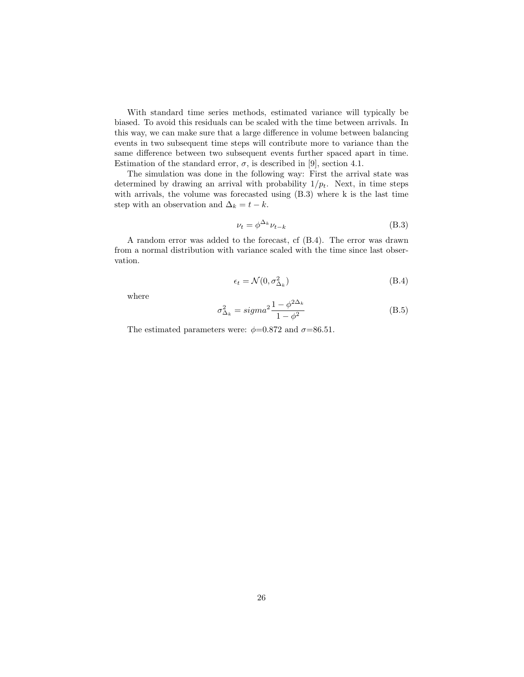With standard time series methods, estimated variance will typically be biased. To avoid this residuals can be scaled with the time between arrivals. In this way, we can make sure that a large difference in volume between balancing events in two subsequent time steps will contribute more to variance than the same difference between two subsequent events further spaced apart in time. Estimation of the standard error,  $\sigma$ , is described in [9], section 4.1.

The simulation was done in the following way: First the arrival state was determined by drawing an arrival with probability  $1/p_t$ . Next, in time steps with arrivals, the volume was forecasted using (B.3) where k is the last time step with an observation and  $\Delta_k = t - k$ .

$$
\nu_t = \phi^{\Delta_k} \nu_{t-k} \tag{B.3}
$$

A random error was added to the forecast, cf (B.4). The error was drawn from a normal distribution with variance scaled with the time since last observation.

$$
\epsilon_t = \mathcal{N}(0, \sigma_{\Delta_k}^2) \tag{B.4}
$$

where

$$
\sigma_{\Delta_k}^2 = sigma^2 \frac{1 - \phi^{2\Delta_k}}{1 - \phi^2}
$$
\n(B.5)

The estimated parameters were:  $\phi$ =0.872 and  $\sigma$ =86.51.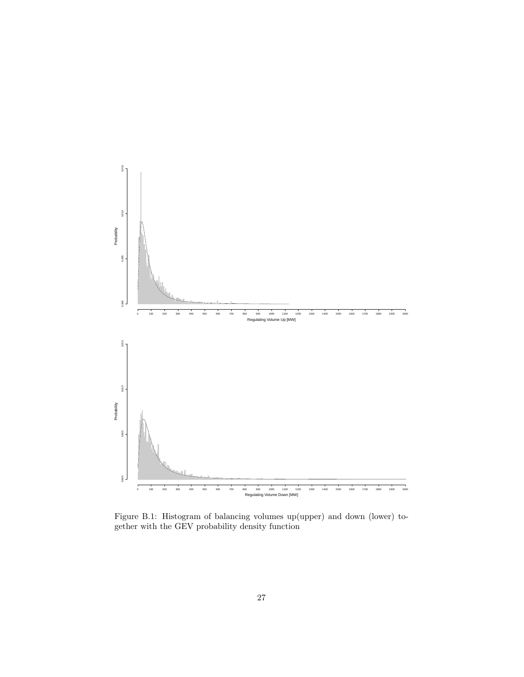

Figure B.1: Histogram of balancing volumes up(upper) and down (lower) together with the GEV probability density function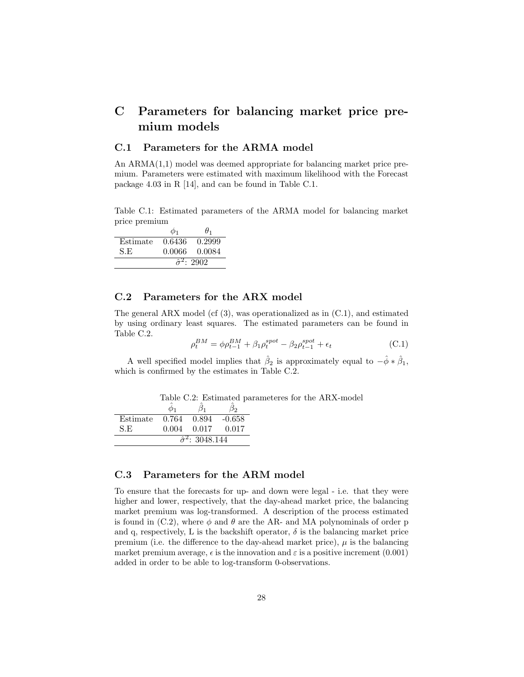# C Parameters for balancing market price premium models

### C.1 Parameters for the ARMA model

An ARMA(1,1) model was deemed appropriate for balancing market price premium. Parameters were estimated with maximum likelihood with the Forecast package 4.03 in R [14], and can be found in Table C.1.

Table C.1: Estimated parameters of the ARMA model for balancing market price premium

|          | Ф1     | $\theta_1$              |
|----------|--------|-------------------------|
| Estimate | 0.6436 | 0.2999                  |
| S.E      | 0.0066 | 0.0084                  |
|          |        | $\hat{\sigma}^2$ : 2902 |

### C.2 Parameters for the ARX model

The general ARX model (cf  $(3)$ , was operationalized as in  $(C.1)$ , and estimated by using ordinary least squares. The estimated parameters can be found in Table C.2.

$$
\rho_t^{BM} = \phi \rho_{t-1}^{BM} + \beta_1 \rho_t^{spot} - \beta_2 \rho_{t-1}^{spot} + \epsilon_t
$$
\n(C.1)

A well specified model implies that  $\hat{\beta}_2$  is approximately equal to  $-\hat{\phi} * \hat{\beta}_1$ , which is confirmed by the estimates in Table C.2.

|  | Table C.2: Estimated parameteres for the ARX-model |  |  |
|--|----------------------------------------------------|--|--|
|  |                                                    |  |  |

| Estimate                               | 0.764 | 0.894 | $-0.658$ |  |
|----------------------------------------|-------|-------|----------|--|
| S.E                                    | 0.004 | 0.017 | 0.017    |  |
| $\overline{\hat{\sigma}^2}$ : 3048.144 |       |       |          |  |

## C.3 Parameters for the ARM model

To ensure that the forecasts for up- and down were legal - i.e. that they were higher and lower, respectively, that the day-ahead market price, the balancing market premium was log-transformed. A description of the process estimated is found in (C.2), where  $\phi$  and  $\theta$  are the AR- and MA polynominals of order p and q, respectively, L is the backshift operator,  $\delta$  is the balancing market price premium (i.e. the difference to the day-ahead market price),  $\mu$  is the balancing market premium average,  $\epsilon$  is the innovation and  $\varepsilon$  is a positive increment (0.001) added in order to be able to log-transform 0-observations.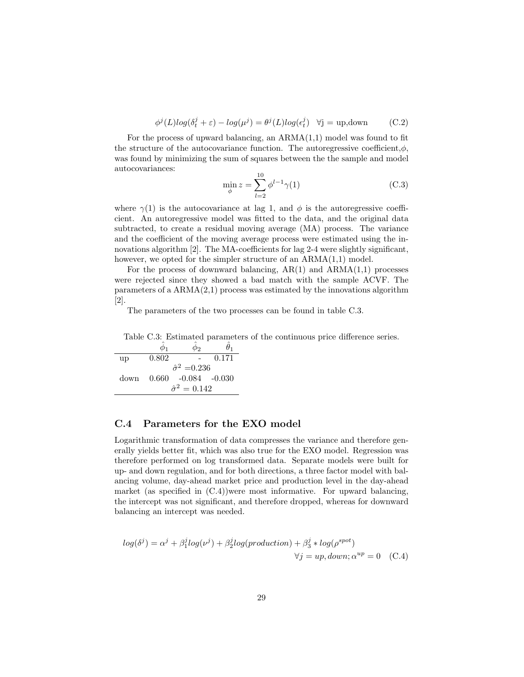$$
\phi^{j}(L)log(\delta_{t}^{j} + \varepsilon) - log(\mu^{j}) = \theta^{j}(L)log(\epsilon_{t}^{j}) \quad \forall j = \text{up,down}
$$
 (C.2)

For the process of upward balancing, an  $ARMA(1,1)$  model was found to fit the structure of the autocovariance function. The autoregressive coefficient, $\phi$ , was found by minimizing the sum of squares between the the sample and model autocovariances:

$$
\min_{\phi} z = \sum_{l=2}^{10} \phi^{l-1} \gamma(1)
$$
 (C.3)

where  $\gamma(1)$  is the autocovariance at lag 1, and  $\phi$  is the autoregressive coefficient. An autoregressive model was fitted to the data, and the original data subtracted, to create a residual moving average (MA) process. The variance and the coefficient of the moving average process were estimated using the innovations algorithm [2]. The MA-coefficients for lag 2-4 were slightly significant, however, we opted for the simpler structure of an ARMA $(1,1)$  model.

For the process of downward balancing,  $AR(1)$  and  $ARMA(1,1)$  processes were rejected since they showed a bad match with the sample ACVF. The parameters of a  $ARMA(2,1)$  process was estimated by the innovations algorithm [2].

The parameters of the two processes can be found in table C.3.

Table C.3: Estimated parameters of the continuous price difference series.

 $\hat{\phi}_1$   $\hat{\phi}_2$   $\hat{\theta}_1$ up 0.802 - 0.171  $\hat{\sigma}^2 = 0.236$ down 0.660 -0.084 -0.030  $\hat{\sigma}^2 = 0.142$ 

#### C.4 Parameters for the EXO model

Logarithmic transformation of data compresses the variance and therefore generally yields better fit, which was also true for the EXO model. Regression was therefore performed on log transformed data. Separate models were built for up- and down regulation, and for both directions, a three factor model with balancing volume, day-ahead market price and production level in the day-ahead market (as specified in  $(C.4)$ )were most informative. For upward balancing, the intercept was not significant, and therefore dropped, whereas for downward balancing an intercept was needed.

$$
log(\delta^{j}) = \alpha^{j} + \beta_{1}^{j} log(\nu^{j}) + \beta_{2}^{j} log(production) + \beta_{3}^{j} * log(\rho^{spot})
$$
  

$$
\forall j = up, down; \alpha^{up} = 0 \quad (C.4)
$$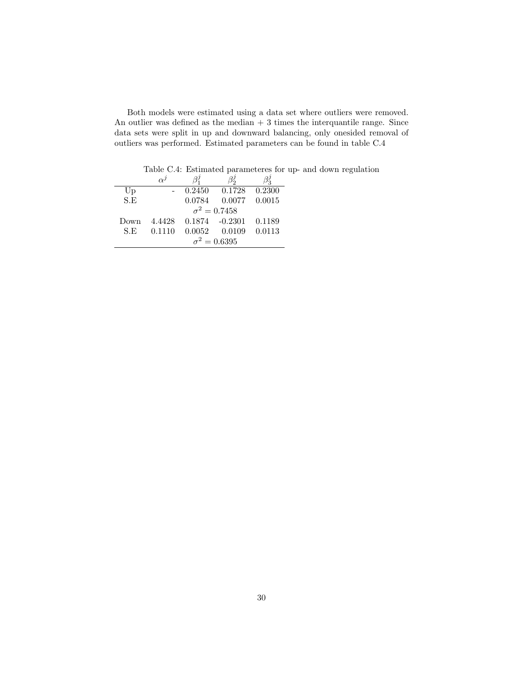| Both models were estimated using a data set where outliers were removed.       |
|--------------------------------------------------------------------------------|
| An outlier was defined as the median $+3$ times the interquantile range. Since |
| data sets were split in up and downward balancing, only onesided removal of    |
| outliers was performed. Estimated parameters can be found in table C.4         |

Table C.4: Estimated parameteres for up- and down regulation

|      | $\alpha^j$ |        |                     |        |
|------|------------|--------|---------------------|--------|
| Up   |            | 0.2450 | 0.1728              | 0.2300 |
| S.E  |            | 0.0784 | 0.0077              | 0.0015 |
|      |            |        | $\sigma^2 = 0.7458$ |        |
| Down | 4.4428     |        | $0.1874 - 0.2301$   | 0.1189 |
| S.E  | 0.1110     | 0.0052 | 0.0109              | 0.0113 |
|      |            |        | $\sigma^2 = 0.6395$ |        |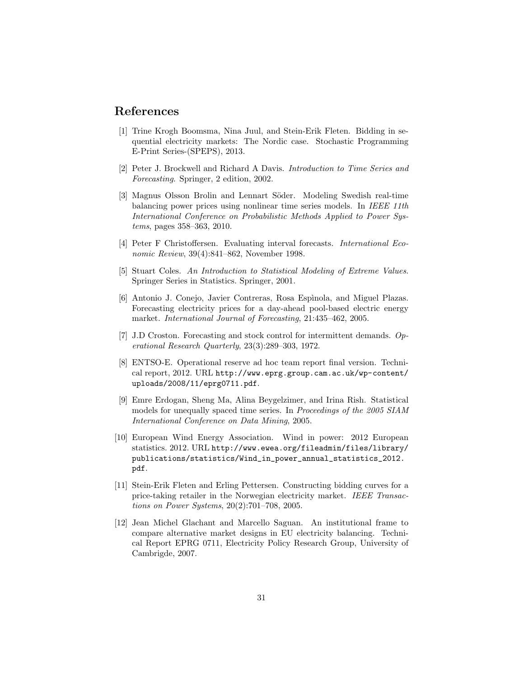### References

- [1] Trine Krogh Boomsma, Nina Juul, and Stein-Erik Fleten. Bidding in sequential electricity markets: The Nordic case. Stochastic Programming E-Print Series-(SPEPS), 2013.
- [2] Peter J. Brockwell and Richard A Davis. Introduction to Time Series and Forecasting. Springer, 2 edition, 2002.
- [3] Magnus Olsson Brolin and Lennart Söder. Modeling Swedish real-time balancing power prices using nonlinear time series models. In IEEE 11th International Conference on Probabilistic Methods Applied to Power Systems, pages 358–363, 2010.
- [4] Peter F Christoffersen. Evaluating interval forecasts. International Economic Review, 39(4):841–862, November 1998.
- [5] Stuart Coles. An Introduction to Statistical Modeling of Extreme Values. Springer Series in Statistics. Springer, 2001.
- [6] Antonio J. Conejo, Javier Contreras, Rosa Espìnola, and Miguel Plazas. Forecasting electricity prices for a day-ahead pool-based electric energy market. International Journal of Forecasting, 21:435–462, 2005.
- [7] J.D Croston. Forecasting and stock control for intermittent demands. Operational Research Quarterly, 23(3):289–303, 1972.
- [8] ENTSO-E. Operational reserve ad hoc team report final version. Technical report, 2012. URL http://www.eprg.group.cam.ac.uk/wp-content/ uploads/2008/11/eprg0711.pdf.
- [9] Emre Erdogan, Sheng Ma, Alina Beygelzimer, and Irina Rish. Statistical models for unequally spaced time series. In Proceedings of the 2005 SIAM International Conference on Data Mining, 2005.
- [10] European Wind Energy Association. Wind in power: 2012 European statistics. 2012. URL http://www.ewea.org/fileadmin/files/library/ publications/statistics/Wind\_in\_power\_annual\_statistics\_2012. pdf.
- [11] Stein-Erik Fleten and Erling Pettersen. Constructing bidding curves for a price-taking retailer in the Norwegian electricity market. IEEE Transactions on Power Systems, 20(2):701–708, 2005.
- [12] Jean Michel Glachant and Marcello Saguan. An institutional frame to compare alternative market designs in EU electricity balancing. Technical Report EPRG 0711, Electricity Policy Research Group, University of Cambrigde, 2007.